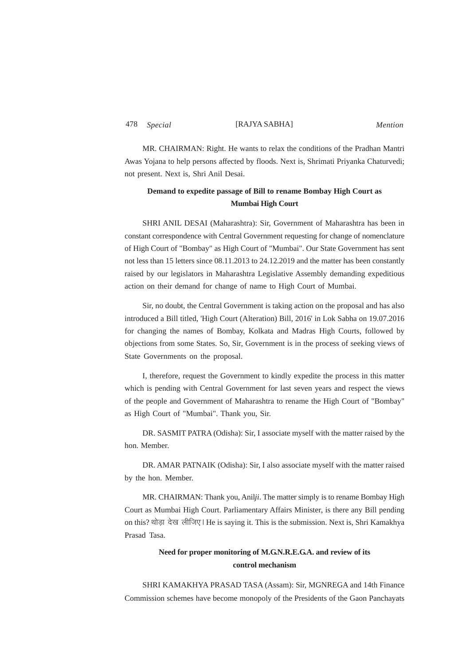## 478 [RAJYA SABHA] *Special Mention*

MR. CHAIRMAN: Right. He wants to relax the conditions of the Pradhan Mantri Awas Yojana to help persons affected by floods. Next is, Shrimati Priyanka Chaturvedi; not present. Next is, Shri Anil Desai.

## **Demand to expedite passage of Bill to rename Bombay High Court as Mumbai High Court**

SHRI ANIL DESAI (Maharashtra): Sir, Government of Maharashtra has been in constant correspondence with Central Government requesting for change of nomenclature of High Court of "Bombay" as High Court of "Mumbai". Our State Government has sent not less than 15 letters since 08.11.2013 to 24.12.2019 and the matter has been constantly raised by our legislators in Maharashtra Legislative Assembly demanding expeditious action on their demand for change of name to High Court of Mumbai.

Sir, no doubt, the Central Government is taking action on the proposal and has also introduced a Bill titled, 'High Court (Alteration) Bill, 2016' in Lok Sabha on 19.07.2016 for changing the names of Bombay, Kolkata and Madras High Courts, followed by objections from some States. So, Sir, Government is in the process of seeking views of State Governments on the proposal.

I, therefore, request the Government to kindly expedite the process in this matter which is pending with Central Government for last seven years and respect the views of the people and Government of Maharashtra to rename the High Court of "Bombay" as High Court of "Mumbai". Thank you, Sir.

DR. SASMIT PATRA (Odisha): Sir, I associate myself with the matter raised by the hon. Member.

DR. AMAR PATNAIK (Odisha): Sir, I also associate myself with the matter raised by the hon. Member.

MR. CHAIRMAN: Thank you, Anil*ji*. The matter simply is to rename Bombay High Court as Mumbai High Court. Parliamentary Affairs Minister, is there any Bill pending on this? थोड़ा देख लीजिए। He is saying it. This is the submission. Next is, Shri Kamakhya Prasad Tasa.

## **Need for proper monitoring of M.G.N.R.E.G.A. and review of its control mechanism**

SHRI KAMAKHYA PRASAD TASA (Assam): Sir, MGNREGA and 14th Finance Commission schemes have become monopoly of the Presidents of the Gaon Panchayats